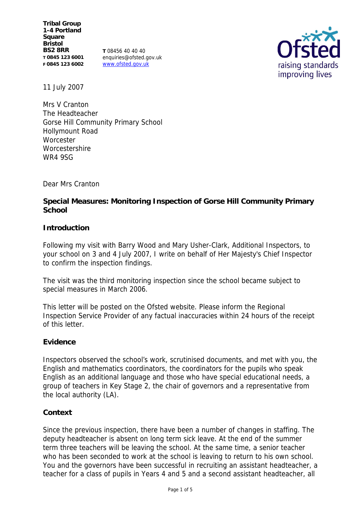**Tribal Group 1-4 Portland Square Bristol BS2 8RR T 0845 123 6001 F 0845 123 6002**

**T** 08456 40 40 40 enquiries@ofsted.gov.uk www.ofsted.gov.uk



11 July 2007

Mrs V Cranton The Headteacher Gorse Hill Community Primary School Hollymount Road **Worcester Worcestershire** WR4 9SG

Dear Mrs Cranton

**Special Measures: Monitoring Inspection of Gorse Hill Community Primary School**

# **Introduction**

Following my visit with Barry Wood and Mary Usher-Clark, Additional Inspectors, to your school on 3 and 4 July 2007, I write on behalf of Her Majesty's Chief Inspector to confirm the inspection findings.

The visit was the third monitoring inspection since the school became subject to special measures in March 2006.

This letter will be posted on the Ofsted website. Please inform the Regional Inspection Service Provider of any factual inaccuracies within 24 hours of the receipt of this letter.

## **Evidence**

Inspectors observed the school's work, scrutinised documents, and met with you, the English and mathematics coordinators, the coordinators for the pupils who speak English as an additional language and those who have special educational needs, a group of teachers in Key Stage 2, the chair of governors and a representative from the local authority (LA).

## **Context**

Since the previous inspection, there have been a number of changes in staffing. The deputy headteacher is absent on long term sick leave. At the end of the summer term three teachers will be leaving the school. At the same time, a senior teacher who has been seconded to work at the school is leaving to return to his own school. You and the governors have been successful in recruiting an assistant headteacher, a teacher for a class of pupils in Years 4 and 5 and a second assistant headteacher, all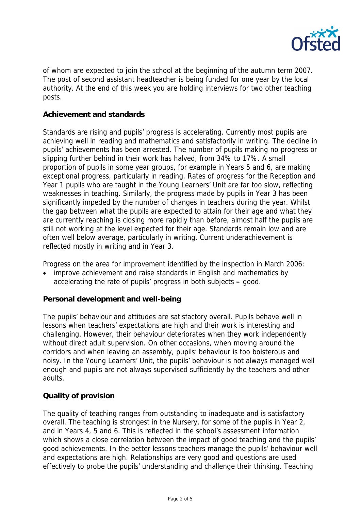

of whom are expected to join the school at the beginning of the autumn term 2007. The post of second assistant headteacher is being funded for one year by the local authority. At the end of this week you are holding interviews for two other teaching posts.

## **Achievement and standards**

Standards are rising and pupils' progress is accelerating. Currently most pupils are achieving well in reading and mathematics and satisfactorily in writing. The decline in pupils' achievements has been arrested. The number of pupils making no progress or slipping further behind in their work has halved, from 34% to 17%. A small proportion of pupils in some year groups, for example in Years 5 and 6, are making exceptional progress, particularly in reading. Rates of progress for the Reception and Year 1 pupils who are taught in the Young Learners' Unit are far too slow, reflecting weaknesses in teaching. Similarly, the progress made by pupils in Year 3 has been significantly impeded by the number of changes in teachers during the year. Whilst the gap between what the pupils are expected to attain for their age and what they are currently reaching is closing more rapidly than before, almost half the pupils are still not working at the level expected for their age. Standards remain low and are often well below average, particularly in writing. Current underachievement is reflected mostly in writing and in Year 3.

Progress on the area for improvement identified by the inspection in March 2006:

 improve achievement and raise standards in English and mathematics by accelerating the rate of pupils' progress in both subjects **–** good.

**Personal development and well-being**

The pupils' behaviour and attitudes are satisfactory overall. Pupils behave well in lessons when teachers' expectations are high and their work is interesting and challenging. However, their behaviour deteriorates when they work independently without direct adult supervision. On other occasions, when moving around the corridors and when leaving an assembly, pupils' behaviour is too boisterous and noisy. In the Young Learners' Unit, the pupils' behaviour is not always managed well enough and pupils are not always supervised sufficiently by the teachers and other adults.

## **Quality of provision**

The quality of teaching ranges from outstanding to inadequate and is satisfactory overall. The teaching is strongest in the Nursery, for some of the pupils in Year 2, and in Years 4, 5 and 6. This is reflected in the school's assessment information which shows a close correlation between the impact of good teaching and the pupils' good achievements. In the better lessons teachers manage the pupils' behaviour well and expectations are high. Relationships are very good and questions are used effectively to probe the pupils' understanding and challenge their thinking. Teaching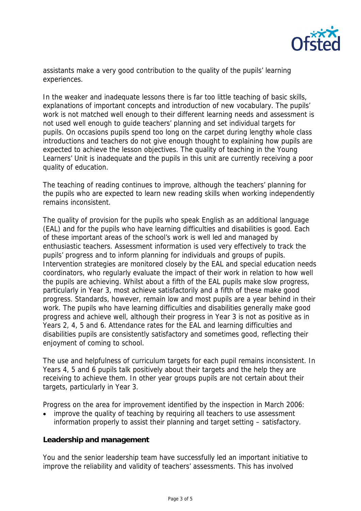

assistants make a very good contribution to the quality of the pupils' learning experiences.

In the weaker and inadequate lessons there is far too little teaching of basic skills, explanations of important concepts and introduction of new vocabulary. The pupils' work is not matched well enough to their different learning needs and assessment is not used well enough to guide teachers' planning and set individual targets for pupils. On occasions pupils spend too long on the carpet during lengthy whole class introductions and teachers do not give enough thought to explaining how pupils are expected to achieve the lesson objectives. The quality of teaching in the Young Learners' Unit is inadequate and the pupils in this unit are currently receiving a poor quality of education.

The teaching of reading continues to improve, although the teachers' planning for the pupils who are expected to learn new reading skills when working independently remains inconsistent.

The quality of provision for the pupils who speak English as an additional language (EAL) and for the pupils who have learning difficulties and disabilities is good. Each of these important areas of the school's work is well led and managed by enthusiastic teachers. Assessment information is used very effectively to track the pupils' progress and to inform planning for individuals and groups of pupils. Intervention strategies are monitored closely by the EAL and special education needs coordinators, who regularly evaluate the impact of their work in relation to how well the pupils are achieving. Whilst about a fifth of the EAL pupils make slow progress, particularly in Year 3, most achieve satisfactorily and a fifth of these make good progress. Standards, however, remain low and most pupils are a year behind in their work. The pupils who have learning difficulties and disabilities generally make good progress and achieve well, although their progress in Year 3 is not as positive as in Years 2, 4, 5 and 6. Attendance rates for the EAL and learning difficulties and disabilities pupils are consistently satisfactory and sometimes good, reflecting their enjoyment of coming to school.

The use and helpfulness of curriculum targets for each pupil remains inconsistent. In Years 4, 5 and 6 pupils talk positively about their targets and the help they are receiving to achieve them. In other year groups pupils are not certain about their targets, particularly in Year 3.

Progress on the area for improvement identified by the inspection in March 2006:

 improve the quality of teaching by requiring all teachers to use assessment information properly to assist their planning and target setting – satisfactory.

## **Leadership and management**

You and the senior leadership team have successfully led an important initiative to improve the reliability and validity of teachers' assessments. This has involved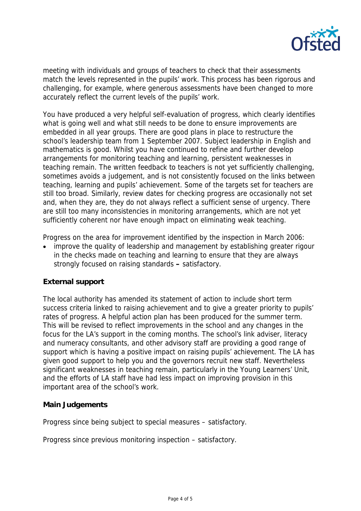

meeting with individuals and groups of teachers to check that their assessments match the levels represented in the pupils' work. This process has been rigorous and challenging, for example, where generous assessments have been changed to more accurately reflect the current levels of the pupils' work.

You have produced a very helpful self-evaluation of progress, which clearly identifies what is going well and what still needs to be done to ensure improvements are embedded in all year groups. There are good plans in place to restructure the school's leadership team from 1 September 2007. Subject leadership in English and mathematics is good. Whilst you have continued to refine and further develop arrangements for monitoring teaching and learning, persistent weaknesses in teaching remain. The written feedback to teachers is not yet sufficiently challenging, sometimes avoids a judgement, and is not consistently focused on the links between teaching, learning and pupils' achievement. Some of the targets set for teachers are still too broad. Similarly, review dates for checking progress are occasionally not set and, when they are, they do not always reflect a sufficient sense of urgency. There are still too many inconsistencies in monitoring arrangements, which are not yet sufficiently coherent nor have enough impact on eliminating weak teaching.

Progress on the area for improvement identified by the inspection in March 2006:

 improve the quality of leadership and management by establishing greater rigour in the checks made on teaching and learning to ensure that they are always strongly focused on raising standards **–** satisfactory.

## **External support**

The local authority has amended its statement of action to include short term success criteria linked to raising achievement and to give a greater priority to pupils' rates of progress. A helpful action plan has been produced for the summer term. This will be revised to reflect improvements in the school and any changes in the focus for the LA's support in the coming months. The school's link adviser, literacy and numeracy consultants, and other advisory staff are providing a good range of support which is having a positive impact on raising pupils' achievement. The LA has given good support to help you and the governors recruit new staff. Nevertheless significant weaknesses in teaching remain, particularly in the Young Learners' Unit, and the efforts of LA staff have had less impact on improving provision in this important area of the school's work.

## **Main Judgements**

Progress since being subject to special measures – satisfactory.

Progress since previous monitoring inspection – satisfactory.